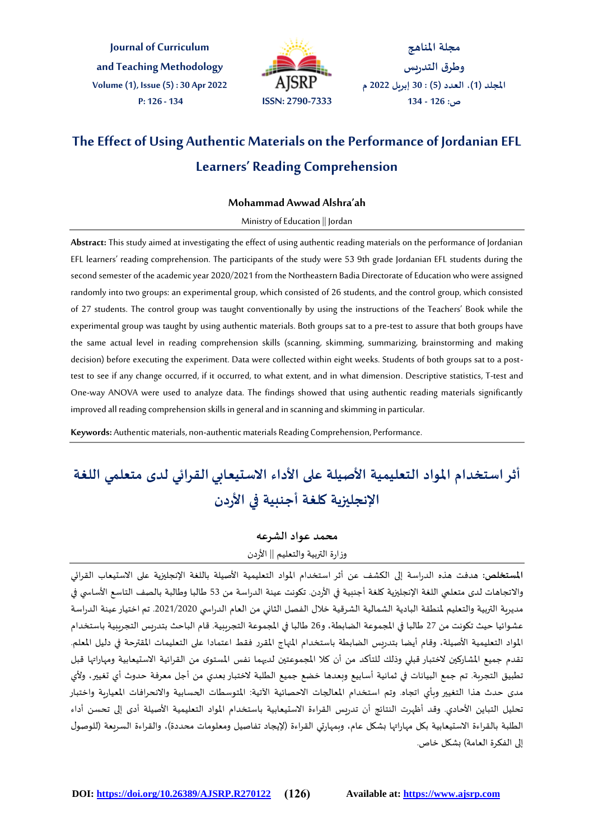**Journal of Curriculum and Teaching Methodology Volume (1), Issue (5) : 30 Apr 2022 P: 126 - 134 ISSN: 2790-7333**



**مجلة املناهج وطرق التدريس املجلد )1(، العدد )5( : 30 إبريل 2022 م ص: 126 - 134**

# **The Effect of Using Authentic Materials on the Performance of Jordanian EFL Learners' Reading Comprehension**

# **Mohammad Awwad Alshra'ah**

#### Ministry of Education || Jordan

**Abstract:** This studyaimed at investigating the effect of using authentic reading materials on the performance of Jordanian EFL learners' reading comprehension. The participants of the study were 53 9th grade Jordanian EFL students during the second semester of the academic year 2020/2021 from the Northeastern Badia Directorate of Education who were assigned randomly into two groups: an experimental group, which consisted of 26 students, and the control group, which consisted of 27 students. The control group was taught conventionally by using the instructions of the Teachers' Book while the experimental group was taught by using authentic materials. Both groups sat to a pre-test to assure that both groups have the same actual level in reading comprehension skills (scanning, skimming, summarizing, brainstorming and making decision) before executing the experiment. Data were collected within eight weeks. Students of both groups sat to a posttest to see if any change occurred, if it occurred, to what extent, and in what dimension. Descriptive statistics, T-test and One-way ANOVA were used to analyze data. The findings showed that using authentic reading materials significantly improved all reading comprehension skills in general and in scanning and skimming in particular.

**Keywords:** Authentic materials, non-authentic materials Reading Comprehension, Performance.

# **أثر استخدام املواد التعليمية األصيلة على األداء االستيعابي القرائي لدى متعلمي اللغة اإلنجليزية كلغة أجنبية في األردن**

#### **محمد عواد الشرعه**

### وزارة التربية والتعليم || الأردن

**املستخلص:** هدفت هذه الدراسة إلى الكشف عن أثر استخدام املواد التعليمية الصيلة باللغة اإلنجليزية على االستيعاب القرائي والاتجاهات لدى متعلمي اللغة الإنجليزية كلغة أجنبية في الأردن. تكونت عينة الدراسة من 53 طالبا وطالبة بالصف التاسع الأساسي في مديرية التربية والتعليم ملنطقة البادية الشمالية الشرقية خالل الفصل الثاني من العام الدراس ي .2021/2020 تم اختيار عينة الدراسة عشوائيا حيث تكونت من 27 طالبا في المجموعة الضابطة، و26 طالبا في المجموعة التجريبية. قام الباحث بتدريس التجريبية باستخدام المواد التعليمية الأصيلة، وقام أيضا بتدربس الضابطة باستخدام المهاج المقرر فقط اعتمادا على التعليمات المقترحة في دليل المعلم. تقدم جميع المشاركين لاختبار قبلي وذلك للتأكد من أن كلا المجموعتين لديهما نفس المستوى من القرائية الاستيعابية ومهاراتها قبل تطبيق التجربة. تم جمع البيانات في ثمانية أسابيع وبعدها خضع جميع الطلبة الختبار بعدي من أجل معرفة حدوث أي تغيير، ولي مدى حدث هذا التغيير وبأي اتجاه. وتم استخدام المعالجات الاحصائية الآتية: المتوسطات الحسابية والانحرافات المعيارية واختبار تحليل التباين الحادي. وقد أظهرت النتائج أن تدريس القراءة االستيعابية باستخدام املواد التعليمية الصيلة أدى إلى تحسن أداء الطلبة بالقراءة الاستيعابية بكل مهاراتها بشكل عام، وبمهارتي القراءة (لإيجاد تفاصيل ومعلومات محددة)، والقراءة السريعة (للوصول إلى الفكرة العامة) بشكل خاص.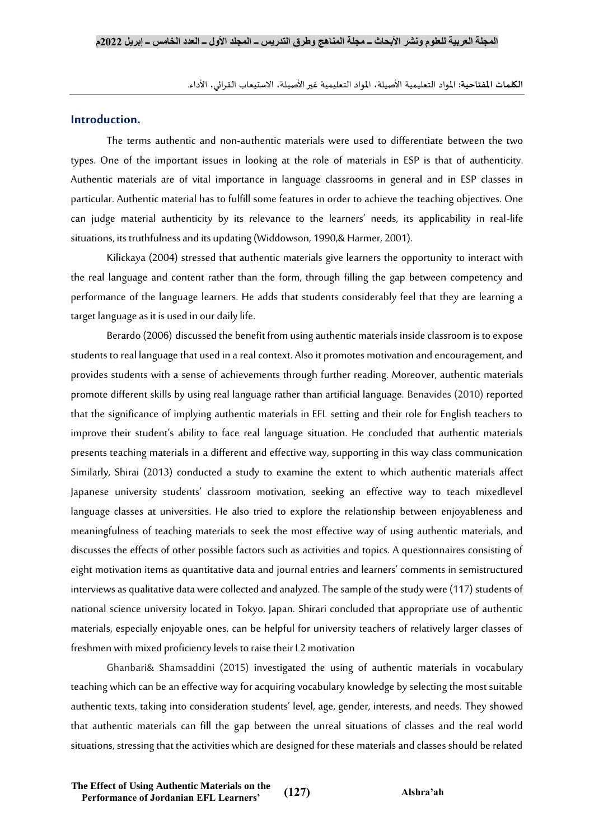**الكلمات املفتاحية:** املواد التعليمية الصيلة، املواد التعليمية غير الصيلة، االستيعاب القرائي، الداء.

# **Introduction.**

The terms authentic and non-authentic materials were used to differentiate between the two types. One of the important issues in looking at the role of materials in ESP is that of authenticity. Authentic materials are of vital importance in language classrooms in general and in ESP classes in particular. Authentic material has to fulfill some features in order to achieve the teaching objectives. One can judge material authenticity by its relevance to the learners' needs, its applicability in real-life situations, its truthfulness and its updating (Widdowson, 1990,& Harmer, 2001).

Kilickaya (2004) stressed that authentic materials give learners the opportunity to interact with the real language and content rather than the form, through filling the gap between competency and performance of the language learners. He adds that students considerably feel that they are learning a target language as it is used in our daily life.

Berardo (2006) discussed the benefit from using authentic materials inside classroom is to expose students to real language that used in a real context. Also it promotes motivation and encouragement, and provides students with a sense of achievements through further reading. Moreover, authentic materials promote different skills by using real language rather than artificial language. Benavides (2010) reported that the significance of implying authentic materials in EFL setting and their role for English teachers to improve their student's ability to face real language situation. He concluded that authentic materials presents teaching materials in a different and effective way, supporting in this way class communication Similarly, Shirai (2013) conducted a study to examine the extent to which authentic materials affect Japanese university students' classroom motivation, seeking an effective way to teach mixedlevel language classes at universities. He also tried to explore the relationship between enjoyableness and meaningfulness of teaching materials to seek the most effective way of using authentic materials, and discusses the effects of other possible factors such as activities and topics. A questionnaires consisting of eight motivation items as quantitative data and journal entries and learners' comments in semistructured interviews as qualitative data were collected and analyzed. The sample of the study were (117) students of national science university located in Tokyo, Japan. Shirari concluded that appropriate use of authentic materials, especially enjoyable ones, can be helpful for university teachers of relatively larger classes of freshmen with mixed proficiency levels to raise their L2 motivation

Ghanbari& Shamsaddini (2015) investigated the using of authentic materials in vocabulary teaching which can be an effective way for acquiring vocabulary knowledge by selecting the most suitable authentic texts, taking into consideration students' level, age, gender, interests, and needs. They showed that authentic materials can fill the gap between the unreal situations of classes and the real world situations, stressing that the activities which are designed for these materials and classes should be related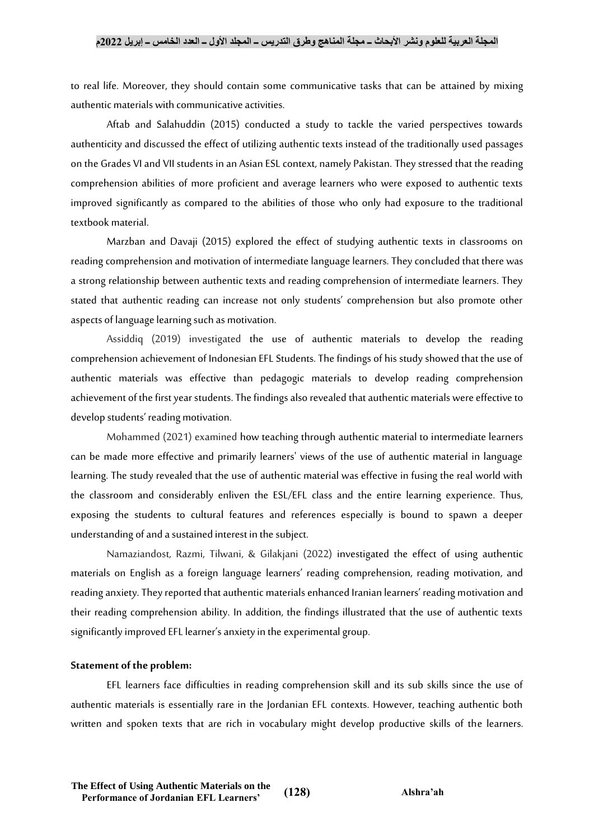#### **المجلة العربية للعلوم ونشر األبحاث ــ مجلة المناهج وطرق التدريس ــ المجلد األول ــ العدد الخامس ــ إبريل 2022م**

to real life. Moreover, they should contain some communicative tasks that can be attained by mixing authentic materials with communicative activities.

Aftab and Salahuddin (2015) conducted a study to tackle the varied perspectives towards authenticity and discussed the effect of utilizing authentic texts instead of the traditionally used passages on the Grades VI and VII students in an Asian ESL context, namely Pakistan. They stressed that the reading comprehension abilities of more proficient and average learners who were exposed to authentic texts improved significantly as compared to the abilities of those who only had exposure to the traditional textbook material.

Marzban and Davaji (2015) explored the effect of studying authentic texts in classrooms on reading comprehension and motivation of intermediate language learners. They concluded that there was a strong relationship between authentic texts and reading comprehension of intermediate learners. They stated that authentic reading can increase not only students' comprehension but also promote other aspects of language learning such as motivation.

Assiddiq (2019) investigated the use of authentic materials to develop the reading comprehension achievement of Indonesian EFL Students. The findings of his study showed that the use of authentic materials was effective than pedagogic materials to develop reading comprehension achievement of the first year students. The findings also revealed that authentic materials were effective to develop students' reading motivation.

Mohammed (2021) examined how teaching through authentic material to intermediate learners can be made more effective and primarily learners' views of the use of authentic material in language learning. The study revealed that the use of authentic material was effective in fusing the real world with the classroom and considerably enliven the ESL/EFL class and the entire learning experience. Thus, exposing the students to cultural features and references especially is bound to spawn a deeper understanding of and a sustained interest in the subject.

Namaziandost, Razmi, Tilwani, & Gilakjani (2022) investigated the effect of using authentic materials on English as a foreign language learners' reading comprehension, reading motivation, and reading anxiety.They reported that authentic materials enhanced Iranian learners' reading motivation and their reading comprehension ability. In addition, the findings illustrated that the use of authentic texts significantly improved EFL learner's anxiety in the experimental group.

#### **Statement of the problem:**

EFL learners face difficulties in reading comprehension skill and its sub skills since the use of authentic materials is essentially rare in the Jordanian EFL contexts. However, teaching authentic both written and spoken texts that are rich in vocabulary might develop productive skills of the learners.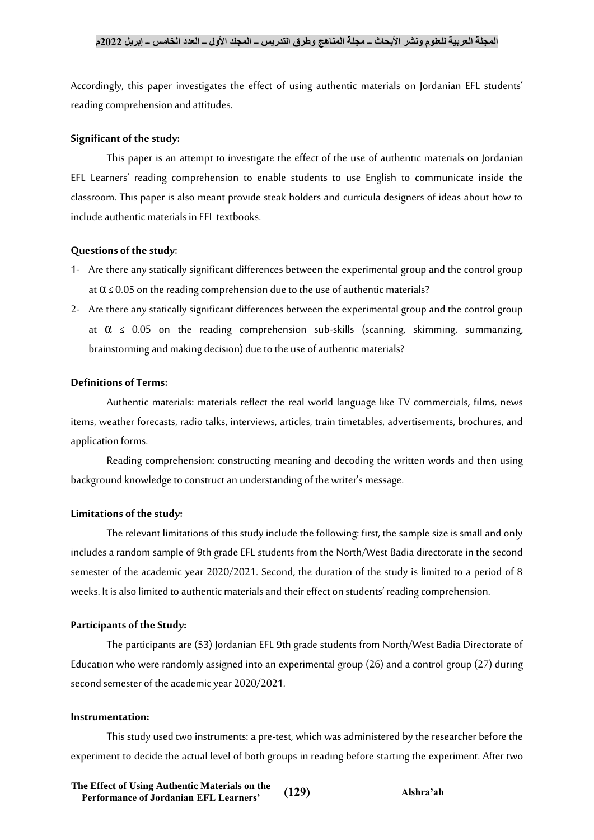Accordingly, this paper investigates the effect of using authentic materials on Jordanian EFL students' reading comprehension and attitudes.

#### **Significant of the study:**

This paper is an attempt to investigate the effect of the use of authentic materials on Jordanian EFL Learners' reading comprehension to enable students to use English to communicate inside the classroom. This paper is also meant provide steak holders and curricula designers of ideas about how to include authentic materials in EFL textbooks.

#### **Questions of the study:**

- 1- Are there any statically significant differences between the experimental group and the control group at  $\alpha \le 0.05$  on the reading comprehension due to the use of authentic materials?
- 2- Are there any statically significant differences between the experimental group and the control group at  $\alpha \leq 0.05$  on the reading comprehension sub-skills (scanning, skimming, summarizing, brainstorming and making decision) due to the use of authentic materials?

## **Definitions of Terms:**

Authentic materials: materials reflect the real world language like TV commercials, films, news items, weather forecasts, radio talks, interviews, articles, train timetables, advertisements, brochures, and application forms.

Reading comprehension: constructing meaning and decoding the written words and then using background knowledge to construct an understanding of the writer's message.

#### **Limitations of the study:**

The relevant limitations of this study include the following: first, the sample size is small and only includes a random sample of 9th grade EFL students from the North/West Badia directorate in the second semester of the academic year 2020/2021. Second, the duration of the study is limited to a period of 8 weeks. It is also limited to authentic materials and their effect on students' reading comprehension.

#### **Participants of the Study:**

The participants are (53) Jordanian EFL 9th grade students from North/West Badia Directorate of Education who were randomly assigned into an experimental group (26) and a control group (27) during second semester of the academic year 2020/2021.

#### **Instrumentation:**

This study used two instruments: a pre-test, which was administered by the researcher before the experiment to decide the actual level of both groups in reading before starting the experiment. After two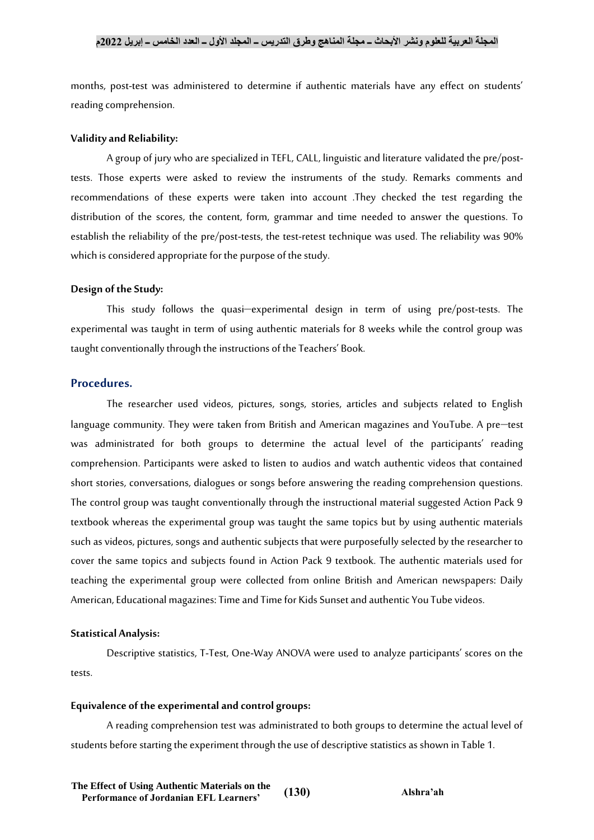months, post-test was administered to determine if authentic materials have any effect on students' reading comprehension.

#### **Validity and Reliability:**

A group of jury who are specialized in TEFL, CALL, linguistic and literature validated the pre/posttests. Those experts were asked to review the instruments of the study. Remarks comments and recommendations of these experts were taken into account .They checked the test regarding the distribution of the scores, the content, form, grammar and time needed to answer the questions. To establish the reliability of the pre/post-tests, the test-retest technique was used. The reliability was 90% which is considered appropriate for the purpose of the study.

#### **Design of the Study:**

This study follows the quasi-experimental design in term of using pre/post-tests. The experimental was taught in term of using authentic materials for 8 weeks while the control group was taught conventionally through the instructions of the Teachers' Book.

#### **Procedures.**

The researcher used videos, pictures, songs, stories, articles and subjects related to English language community. They were taken from British and American magazines and YouTube. A pre-test was administrated for both groups to determine the actual level of the participants' reading comprehension. Participants were asked to listen to audios and watch authentic videos that contained short stories, conversations, dialogues or songs before answering the reading comprehension questions. The control group was taught conventionally through the instructional material suggested Action Pack 9 textbook whereas the experimental group was taught the same topics but by using authentic materials such as videos, pictures, songs and authentic subjects that were purposefully selected by the researcher to cover the same topics and subjects found in Action Pack 9 textbook. The authentic materials used for teaching the experimental group were collected from online British and American newspapers: Daily American, Educational magazines: Time and Time for Kids Sunset and authentic You Tube videos.

#### **Statistical Analysis:**

Descriptive statistics, T-Test, One-Way ANOVA were used to analyze participants' scores on the tests.

#### **Equivalence of the experimental and control groups:**

A reading comprehension test was administrated to both groups to determine the actual level of students before starting the experiment through the use of descriptive statistics as shown in Table 1.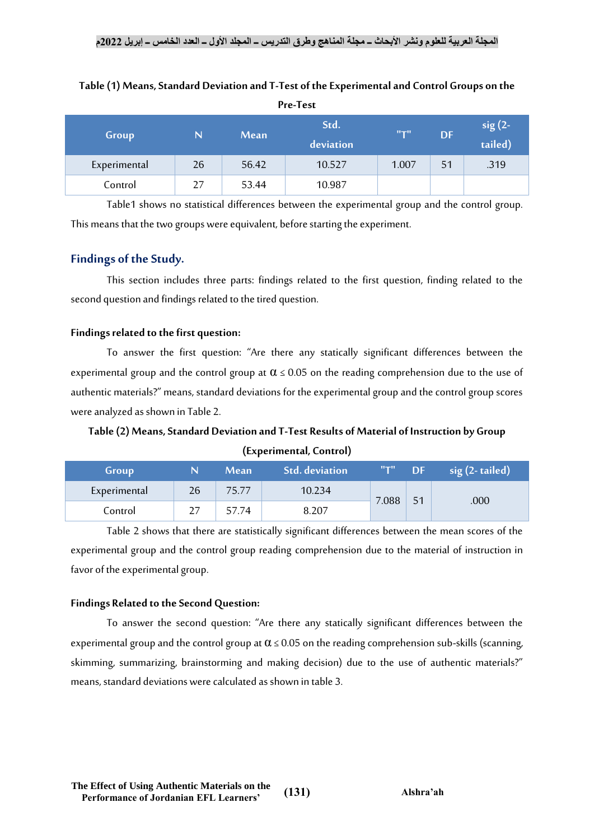| Group        | N  | Mean  | Std.<br>deviation | $H_T$ H | <b>DF</b> | $sig(2-$<br>tailed) |
|--------------|----|-------|-------------------|---------|-----------|---------------------|
| Experimental | 26 | 56.42 | 10.527            | 1.007   | 51        | .319                |
| Control      | 27 | 53.44 | 10.987            |         |           |                     |

# **Table (1) Means, Standard Deviation and T-Test of the Experimental and Control Groups on the Pre-Test**

Table1 shows no statistical differences between the experimental group and the control group. This means that the two groups were equivalent, before starting the experiment.

# **Findings of the Study.**

This section includes three parts: findings related to the first question, finding related to the second question and findings related to the tired question.

# **Findings related to the first question:**

To answer the first question: "Are there any statically significant differences between the experimental group and the control group at  $\alpha \le 0.05$  on the reading comprehension due to the use of authentic materials?" means, standard deviations for the experimental group and the control group scores were analyzed as shown in Table 2.

# **Table (2) Means, Standard Deviation and T-Test Results of Material of Instruction by Group (Experimental, Control)**

| Group        |    | <b>Mean</b> | <b>Std.</b> deviation | $H_TH$ | <b>DF</b> | $sig(2-tailed)$ |
|--------------|----|-------------|-----------------------|--------|-----------|-----------------|
| Experimental | 26 | 75.77       | 10.234                | 7.088  |           | .000            |
| Control      | 27 | 57.74       | 8.207                 |        |           |                 |

Table 2 shows that there are statistically significant differences between the mean scores of the experimental group and the control group reading comprehension due to the material of instruction in favor of the experimental group.

# **Findings Related to the Second Question:**

To answer the second question: "Are there any statically significant differences between the experimental group and the control group at  $\alpha \le 0.05$  on the reading comprehension sub-skills (scanning, skimming, summarizing, brainstorming and making decision) due to the use of authentic materials?" means, standard deviations were calculated as shown in table 3.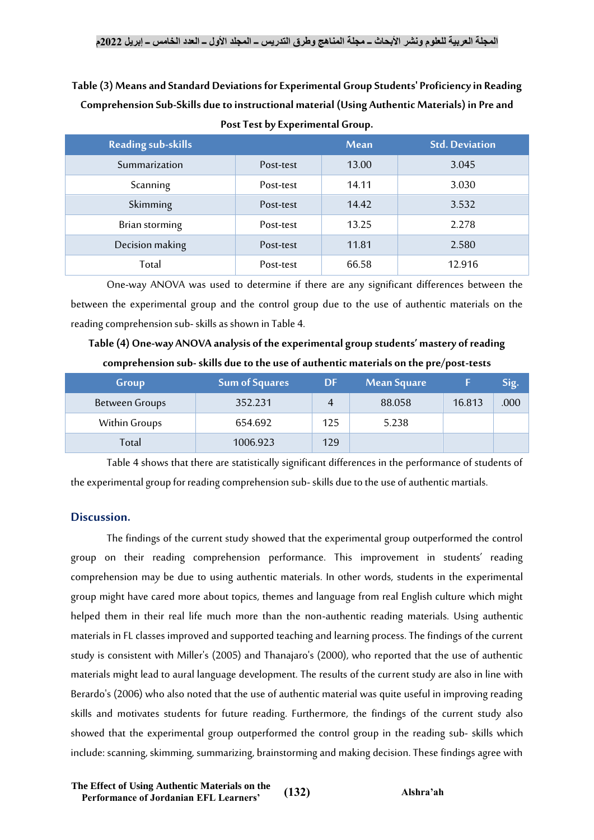# **Table (3) Means and Standard Deviations for Experimental Group Students' Proficiency in Reading Comprehension Sub-Skills due to instructional material (Using Authentic Materials) in Pre and Post Test by Experimental Group.**

| <b>Reading sub-skills</b> |           | <b>Mean</b> | <b>Std. Deviation</b> |
|---------------------------|-----------|-------------|-----------------------|
| Summarization             | Post-test | 13.00       | 3.045                 |
| Scanning                  | Post-test | 14.11       | 3.030                 |
| Skimming                  | Post-test | 14.42       | 3.532                 |
| Brian storming            | Post-test | 13.25       | 2.278                 |
| Decision making           | Post-test | 11.81       | 2.580                 |
| Total                     | Post-test | 66.58       | 12.916                |

One-way ANOVA was used to determine if there are any significant differences between the between the experimental group and the control group due to the use of authentic materials on the reading comprehension sub- skills as shown in Table 4.

**Table (4) One-way ANOVA analysis of the experimental group students' mastery of reading comprehension sub-skills due to the use of authentic materials on the pre/post-tests**

| Group                 | <b>Sum of Squares</b> | DF  | <b>Mean Square</b> |        | Sig. |
|-----------------------|-----------------------|-----|--------------------|--------|------|
| <b>Between Groups</b> | 352.231               | 4   | 88.058             | 16.813 | .000 |
| Within Groups         | 654.692               | 125 | 5.238              |        |      |
| Total                 | 1006.923              | 129 |                    |        |      |

Table 4 shows that there are statistically significant differences in the performance of students of the experimental group for reading comprehension sub-skills due to the use of authentic martials.

# **Discussion.**

The findings of the current study showed that the experimental group outperformed the control group on their reading comprehension performance. This improvement in students' reading comprehension may be due to using authentic materials. In other words, students in the experimental group might have cared more about topics, themes and language from real English culture which might helped them in their real life much more than the non-authentic reading materials. Using authentic materials in FL classes improved and supported teaching and learning process. The findings of the current study is consistent with Miller's (2005) and Thanajaro's (2000), who reported that the use of authentic materials might lead to aural language development. The results of the current study are also in line with Berardo's (2006) who also noted that the use of authentic material was quite useful in improving reading skills and motivates students for future reading. Furthermore, the findings of the current study also showed that the experimental group outperformed the control group in the reading sub- skills which include: scanning, skimming, summarizing, brainstorming and making decision. These findings agree with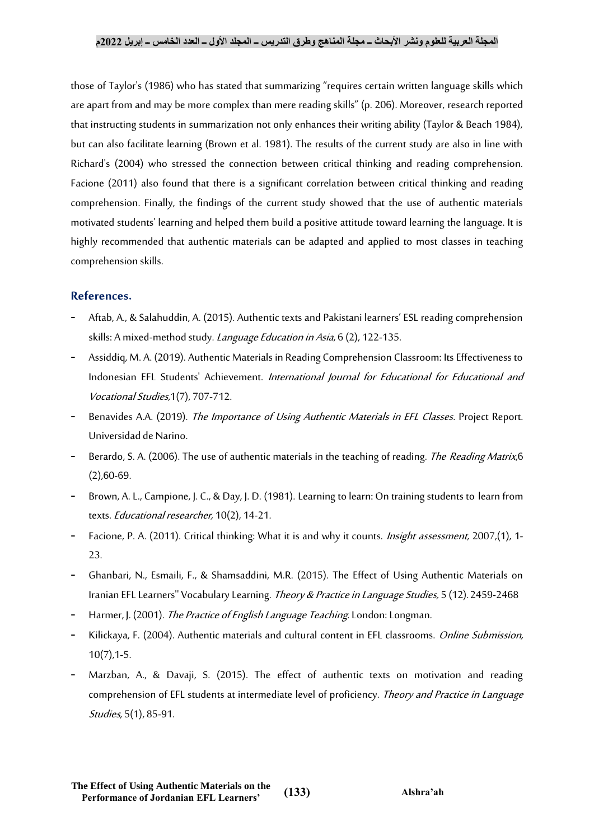### **المجلة العربية للعلوم ونشر األبحاث ــ مجلة المناهج وطرق التدريس ــ المجلد األول ــ العدد الخامس ــ إبريل 2022م**

those of Taylor's (1986) who has stated that summarizing "requires certain written language skills which are apart from and may be more complex than mere reading skills" (p. 206). Moreover, research reported that instructing students in summarization not only enhances their writing ability (Taylor & Beach 1984), but can also facilitate learning (Brown et al. 1981). The results of the current study are also in line with Richard's (2004) who stressed the connection between critical thinking and reading comprehension. Facione (2011) also found that there is a significant correlation between critical thinking and reading comprehension. Finally, the findings of the current study showed that the use of authentic materials motivated students' learning and helped them build a positive attitude toward learning the language. It is highly recommended that authentic materials can be adapted and applied to most classes in teaching comprehension skills.

# **References.**

- Aftab, A., & Salahuddin, A. (2015). Authentic texts and Pakistani learners' ESL reading comprehension skills: A mixed-method study. Language Education in Asia, 6 (2), 122-135.
- Assiddiq, M. A. (2019). Authentic Materials in Reading Comprehension Classroom: Its Effectiveness to Indonesian EFL Students' Achievement. International Journal for Educational for Educational and Vocational Studies,1(7), 707-712.
- Benavides A.A. (2019). The Importance of Using Authentic Materials in EFL Classes. Project Report. Universidad de Narino.
- Berardo, S. A. (2006). The use of authentic materials in the teaching of reading. *The Reading Matrix*, 6 (2),60-69.
- Brown, A. L., Campione, J. C., & Day, J. D. (1981). Learning to learn: On training students to learn from texts. Educational researcher, 10(2), 14-21.
- Facione, P. A. (2011). Critical thinking: What it is and why it counts. *Insight assessment*, 2007,(1), 1-23.
- Ghanbari, N., Esmaili, F., & Shamsaddini, M.R. (2015). The Effect of Using Authentic Materials on Iranian EFL Learners'' Vocabulary Learning. Theory & Practice in Language Studies, 5 (12). 2459-2468
- Harmer, J. (2001). The Practice of English Language Teaching. London: Longman.
- Kilickaya, F. (2004). Authentic materials and cultural content in EFL classrooms. *Online Submission*, 10(7),1-5.
- Marzban, A., & Davaji, S. (2015). The effect of authentic texts on motivation and reading comprehension of EFL students at intermediate level of proficiency. Theory and Practice in Language Studies, 5(1), 85-91.